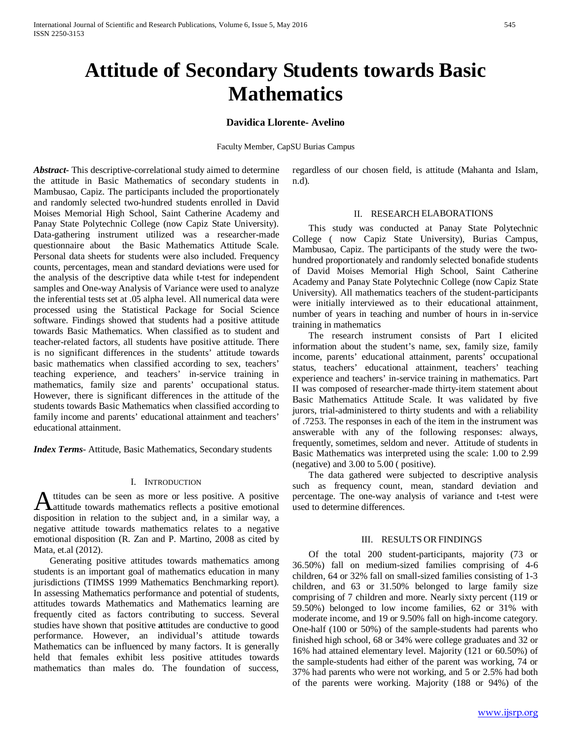# **Attitude of Secondary Students towards Basic Mathematics**

## **Davidica Llorente- Avelino**

Faculty Member, CapSU Burias Campus

*Abstract***-** This descriptive-correlational study aimed to determine the attitude in Basic Mathematics of secondary students in Mambusao, Capiz. The participants included the proportionately and randomly selected two-hundred students enrolled in David Moises Memorial High School, Saint Catherine Academy and Panay State Polytechnic College (now Capiz State University). Data-gathering instrument utilized was a researcher-made questionnaire about the Basic Mathematics Attitude Scale. Personal data sheets for students were also included. Frequency counts, percentages, mean and standard deviations were used for the analysis of the descriptive data while t-test for independent samples and One-way Analysis of Variance were used to analyze the inferential tests set at .05 alpha level. All numerical data were processed using the Statistical Package for Social Science software. Findings showed that students had a positive attitude towards Basic Mathematics. When classified as to student and teacher-related factors, all students have positive attitude. There is no significant differences in the students' attitude towards basic mathematics when classified according to sex, teachers' teaching experience, and teachers' in-service training in mathematics, family size and parents' occupational status. However, there is significant differences in the attitude of the students towards Basic Mathematics when classified according to family income and parents' educational attainment and teachers' educational attainment.

*Index Terms*- Attitude, Basic Mathematics, Secondary students

## I. INTRODUCTION

ttitudes can be seen as more or less positive. A positive attitude towards mathematics reflects a positive emotional **A** titludes can be seen as more or less positive. A positive and, it also active emotional disposition in relation to the subject and, in a similar way, a negative attitude towards mathematics relates to a negative emotional disposition (R. Zan and P. Martino, 2008 as cited by Mata, et.al (2012).

 Generating positive attitudes towards mathematics among students is an important goal of mathematics education in many jurisdictions (TIMSS 1999 Mathematics Benchmarking report). In assessing Mathematics performance and potential of students, attitudes towards Mathematics and Mathematics learning are frequently cited as factors contributing to success. Several studies have shown that positive **a**ttitudes are conductive to good performance. However, an individual's attitude towards Mathematics can be influenced by many factors. It is generally held that females exhibit less positive attitudes towards mathematics than males do. The foundation of success,

regardless of our chosen field, is attitude (Mahanta and Islam, n.d).

#### II. RESEARCH ELABORATIONS

 This study was conducted at Panay State Polytechnic College ( now Capiz State University), Burias Campus, Mambusao, Capiz. The participants of the study were the twohundred proportionately and randomly selected bonafide students of David Moises Memorial High School, Saint Catherine Academy and Panay State Polytechnic College (now Capiz State University). All mathematics teachers of the student-participants were initially interviewed as to their educational attainment, number of years in teaching and number of hours in in-service training in mathematics

 The research instrument consists of Part I elicited information about the student's name, sex, family size, family income, parents' educational attainment, parents' occupational status, teachers' educational attainment, teachers' teaching experience and teachers' in-service training in mathematics. Part II was composed of researcher-made thirty-item statement about Basic Mathematics Attitude Scale. It was validated by five jurors, trial-administered to thirty students and with a reliability of .7253. The responses in each of the item in the instrument was answerable with any of the following responses: always, frequently, sometimes, seldom and never. Attitude of students in Basic Mathematics was interpreted using the scale: 1.00 to 2.99 (negative) and 3.00 to 5.00 ( positive).

 The data gathered were subjected to descriptive analysis such as frequency count, mean, standard deviation and percentage. The one-way analysis of variance and t-test were used to determine differences.

## III. RESULTS OR FINDINGS

 Of the total 200 student-participants, majority (73 or 36.50%) fall on medium-sized families comprising of 4-6 children, 64 or 32% fall on small-sized families consisting of 1-3 children, and 63 or 31.50% belonged to large family size comprising of 7 children and more. Nearly sixty percent (119 or 59.50%) belonged to low income families, 62 or 31% with moderate income, and 19 or 9.50% fall on high-income category. One-half (100 or 50%) of the sample-students had parents who finished high school, 68 or 34% were college graduates and 32 or 16% had attained elementary level. Majority (121 or 60.50%) of the sample-students had either of the parent was working, 74 or 37% had parents who were not working, and 5 or 2.5% had both of the parents were working. Majority (188 or 94%) of the